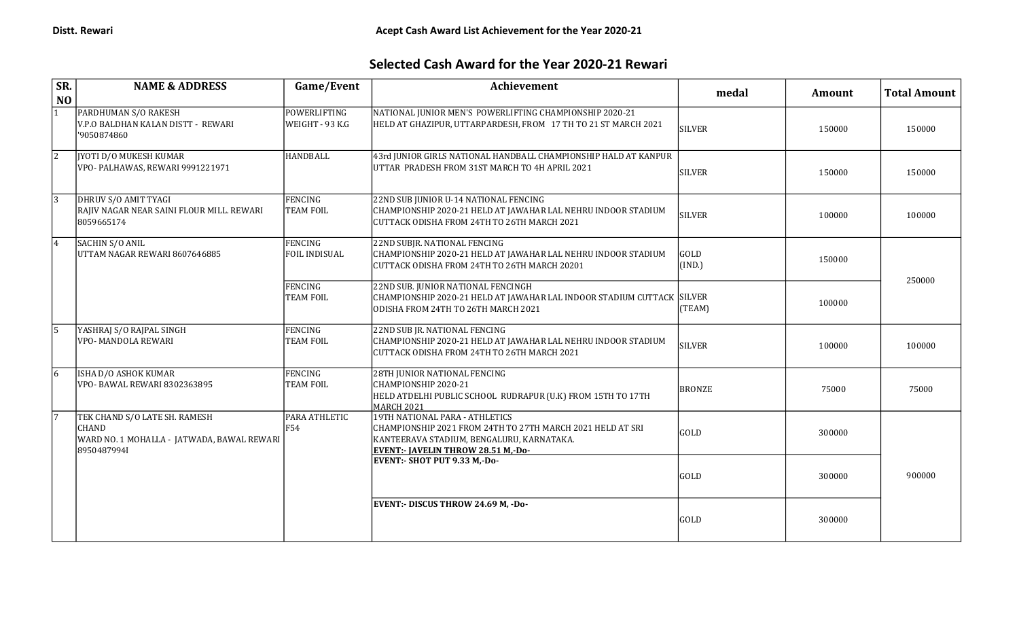## Selected Cash Award for the Year 2020-21 Rewari

| SR.<br>N <sub>O</sub> | <b>NAME &amp; ADDRESS</b>                                                                                  | Game/Event                             | Achievement                                                                                                                                                                            | medal          | <b>Amount</b> | <b>Total Amount</b> |
|-----------------------|------------------------------------------------------------------------------------------------------------|----------------------------------------|----------------------------------------------------------------------------------------------------------------------------------------------------------------------------------------|----------------|---------------|---------------------|
|                       | PARDHUMAN S/O RAKESH<br>V.P.O BALDHAN KALAN DISTT - REWARI<br>'9050874860                                  | <b>POWERLIFTING</b><br>WEIGHT - 93 K.G | NATIONAL JUNIOR MEN'S POWERLIFTING CHAMPIONSHIP 2020-21<br>HELD AT GHAZIPUR, UTTARPARDESH, FROM 17 TH TO 21 ST MARCH 2021                                                              | <b>SILVER</b>  | 150000        | 150000              |
| $\overline{2}$        | <b>IYOTI D/O MUKESH KUMAR</b><br>VPO- PALHAWAS, REWARI 9991221971                                          | HANDBALL                               | 43rd JUNIOR GIRLS NATIONAL HANDBALL CHAMPIONSHIP HALD AT KANPUR<br>UTTAR PRADESH FROM 31ST MARCH TO 4H APRIL 2021                                                                      | <b>SILVER</b>  | 150000        | 150000              |
| $\sqrt{3}$            | DHRUV S/O AMIT TYAGI<br>RAJIV NAGAR NEAR SAINI FLOUR MILL. REWARI<br>8059665174                            | FENCING<br><b>TEAM FOIL</b>            | 22ND SUB JUNIOR U-14 NATIONAL FENCING<br>CHAMPIONSHIP 2020-21 HELD AT JAWAHAR LAL NEHRU INDOOR STADIUM<br>CUTTACK ODISHA FROM 24TH TO 26TH MARCH 2021                                  | <b>SILVER</b>  | 100000        | 100000              |
| 4                     | SACHIN S/O ANIL<br>UTTAM NAGAR REWARI 8607646885                                                           | FENCING<br><b>FOIL INDISUAL</b>        | 22ND SUBJR. NATIONAL FENCING<br>CHAMPIONSHIP 2020-21 HELD AT JAWAHAR LAL NEHRU INDOOR STADIUM<br>CUTTACK ODISHA FROM 24TH TO 26TH MARCH 20201                                          | GOLD<br>(IND.) | 150000        |                     |
|                       |                                                                                                            | <b>FENCING</b><br><b>TEAM FOIL</b>     | 22ND SUB. JUNIOR NATIONAL FENCINGH<br> CHAMPIONSHIP 2020-21 HELD AT JAWAHAR LAL INDOOR STADIUM CUTTACK  SILVER<br>ODISHA FROM 24TH TO 26TH MARCH 2021                                  | (TEAM)         | 100000        | 250000              |
| 15.                   | YASHRAJ S/O RAJPAL SINGH<br><b>VPO- MANDOLA REWARI</b>                                                     | FENCING<br><b>TEAM FOIL</b>            | 22ND SUB JR. NATIONAL FENCING<br>CHAMPIONSHIP 2020-21 HELD AT JAWAHAR LAL NEHRU INDOOR STADIUM<br>CUTTACK ODISHA FROM 24TH TO 26TH MARCH 2021                                          | <b>SILVER</b>  | 100000        | 100000              |
| 16                    | <b>ISHA D/O ASHOK KUMAR</b><br>VPO- BAWAL REWARI 8302363895                                                | FENCING<br><b>TEAM FOIL</b>            | 28TH JUNIOR NATIONAL FENCING<br>CHAMPIONSHIP 2020-21<br>HELD ATDELHI PUBLIC SCHOOL RUDRAPUR (U.K) FROM 15TH TO 17TH<br><b>MARCH 2021</b>                                               | <b>BRONZE</b>  | 75000         | 75000               |
| 17                    | TEK CHAND S/O LATE SH. RAMESH<br><b>CHAND</b><br>WARD NO. 1 MOHALLA - JATWADA, BAWAL REWARI<br>89504879941 | <b>PARA ATHLETIC</b><br><b>F54</b>     | 19TH NATIONAL PARA - ATHLETICS<br>CHAMPIONSHIP 2021 FROM 24TH TO 27TH MARCH 2021 HELD AT SRI<br>KANTEERAVA STADIUM, BENGALURU, KARNATAKA.<br><b>EVENT:- JAVELIN THROW 28.51 M,-Do-</b> | GOLD           | 300000        |                     |
|                       |                                                                                                            |                                        | <b>EVENT:- SHOT PUT 9.33 M,-Do-</b>                                                                                                                                                    | GOLD           | 300000        | 900000              |
|                       |                                                                                                            |                                        | <b>EVENT:- DISCUS THROW 24.69 M, -Do-</b>                                                                                                                                              | <b>GOLD</b>    | 300000        |                     |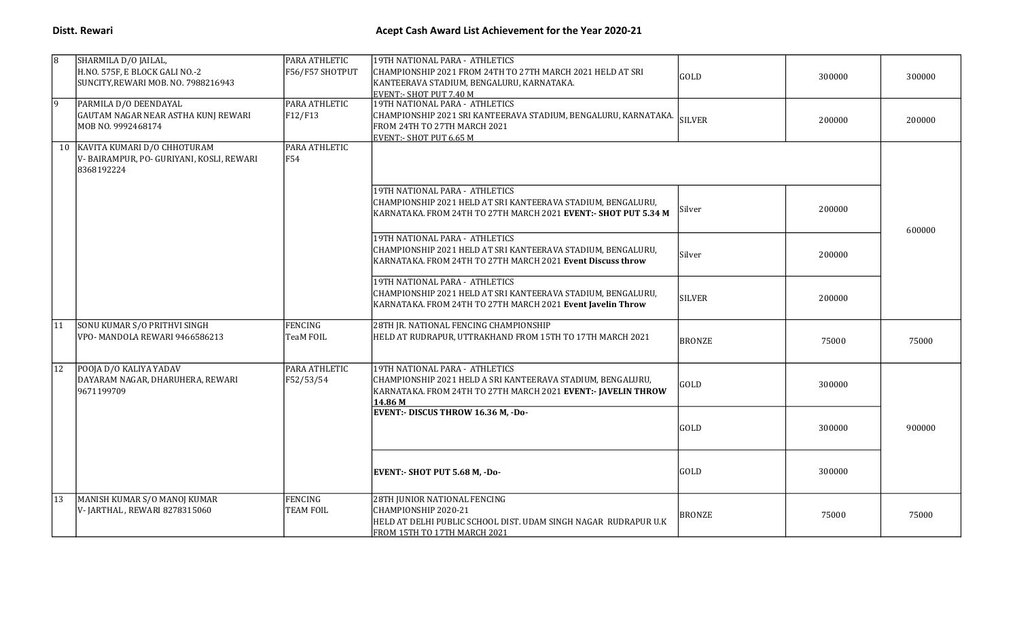| 8            | SHARMILA D/O JAILAL,<br>H.NO. 575F, E BLOCK GALI NO.-2<br>SUNCITY, REWARI MOB. NO. 7988216943 | PARA ATHLETIC<br>F56/F57 SHOTPUT   | 19TH NATIONAL PARA - ATHLETICS<br>CHAMPIONSHIP 2021 FROM 24TH TO 27TH MARCH 2021 HELD AT SRI<br>KANTEERAVA STADIUM, BENGALURU, KARNATAKA.<br>EVENT:- SHOT PUT 7.40 M      | GOLD          | 300000 | 300000 |
|--------------|-----------------------------------------------------------------------------------------------|------------------------------------|---------------------------------------------------------------------------------------------------------------------------------------------------------------------------|---------------|--------|--------|
| 19.          | PARMILA D/O DEENDAYAL<br>GAUTAM NAGAR NEAR ASTHA KUNJ REWARI<br>MOB NO. 9992468174            | PARA ATHLETIC<br>F12/F13           | 19TH NATIONAL PARA - ATHLETICS<br>CHAMPIONSHIP 2021 SRI KANTEERAVA STADIUM, BENGALURU, KARNATAKA.<br>FROM 24TH TO 27TH MARCH 2021<br>EVENT:- SHOT PUT 6.65 M              | <b>SILVER</b> | 200000 | 200000 |
|              | 10 KAVITA KUMARI D/O CHHOTURAM<br>V-BAIRAMPUR, PO-GURIYANI, KOSLI, REWARI<br>8368192224       | PARA ATHLETIC<br>F54               |                                                                                                                                                                           |               |        |        |
|              |                                                                                               |                                    | 19TH NATIONAL PARA - ATHLETICS<br>CHAMPIONSHIP 2021 HELD AT SRI KANTEERAVA STADIUM, BENGALURU,<br>KARNATAKA. FROM 24TH TO 27TH MARCH 2021 EVENT:- SHOT PUT 5.34 M         | Silver        | 200000 | 600000 |
|              |                                                                                               |                                    | 19TH NATIONAL PARA - ATHLETICS<br>CHAMPIONSHIP 2021 HELD AT SRI KANTEERAVA STADIUM, BENGALURU,<br>KARNATAKA. FROM 24TH TO 27TH MARCH 2021 Event Discuss throw             | Silver        | 200000 |        |
|              |                                                                                               |                                    | 19TH NATIONAL PARA - ATHLETICS<br>CHAMPIONSHIP 2021 HELD AT SRI KANTEERAVA STADIUM, BENGALURU,<br>KARNATAKA. FROM 24TH TO 27TH MARCH 2021 Event Javelin Throw             | <b>SILVER</b> | 200000 |        |
| 11           | SONU KUMAR S/O PRITHVI SINGH<br>VPO- MANDOLA REWARI 9466586213                                | <b>FENCING</b><br><b>TeaM FOIL</b> | 28TH JR. NATIONAL FENCING CHAMPIONSHIP<br>HELD AT RUDRAPUR, UTTRAKHAND FROM 15TH TO 17TH MARCH 2021                                                                       | <b>BRONZE</b> | 75000  | 75000  |
| $ 12\rangle$ | POOJA D/O KALIYA YADAV<br>DAYARAM NAGAR, DHARUHERA, REWARI<br>9671199709                      | PARA ATHLETIC<br>F52/53/54         | 19TH NATIONAL PARA - ATHLETICS<br>CHAMPIONSHIP 2021 HELD A SRI KANTEERAVA STADIUM, BENGALURU,<br>KARNATAKA. FROM 24TH TO 27TH MARCH 2021 EVENT:- JAVELIN THROW<br>14.86 M | GOLD          | 300000 |        |
|              |                                                                                               |                                    | <b>EVENT:- DISCUS THROW 16.36 M, -Do-</b>                                                                                                                                 | <b>GOLD</b>   | 300000 | 900000 |
|              |                                                                                               |                                    | <b>EVENT:- SHOT PUT 5.68 M, -Do-</b>                                                                                                                                      | GOLD          | 300000 |        |
| 13           | MANISH KUMAR S/O MANOJ KUMAR<br>V- JARTHAL , REWARI 8278315060                                | FENCING<br><b>TEAM FOIL</b>        | 28TH JUNIOR NATIONAL FENCING<br>CHAMPIONSHIP 2020-21<br>HELD AT DELHI PUBLIC SCHOOL DIST. UDAM SINGH NAGAR RUDRAPUR U.K<br>FROM 15TH TO 17TH MARCH 2021                   | <b>BRONZE</b> | 75000  | 75000  |